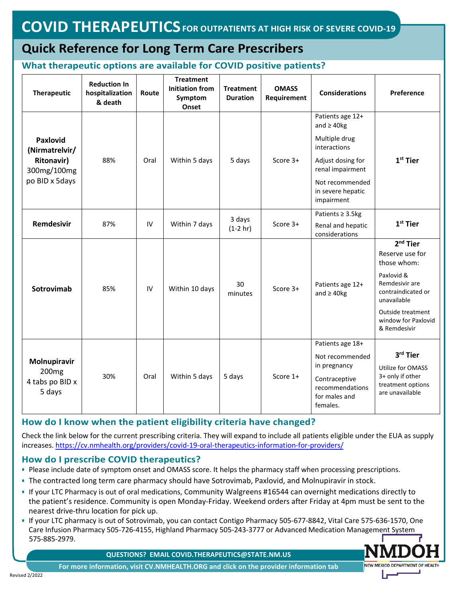# **Quick Reference for Long Term Care Prescribers**

#### **What therapeutic options are available for COVID positive patients?**

| <b>Therapeutic</b>                                             | <b>Reduction In</b><br>hospitalization<br>& death | Route | <b>Treatment</b><br><b>Initiation from</b><br>Symptom<br>Onset | <b>Treatment</b><br><b>Duration</b> | <b>OMASS</b><br>Requirement | <b>Considerations</b>                                                                                                | Preference                                                                                                                                                                    |
|----------------------------------------------------------------|---------------------------------------------------|-------|----------------------------------------------------------------|-------------------------------------|-----------------------------|----------------------------------------------------------------------------------------------------------------------|-------------------------------------------------------------------------------------------------------------------------------------------------------------------------------|
|                                                                |                                                   |       |                                                                |                                     |                             | Patients age 12+<br>and $\geq$ 40kg                                                                                  |                                                                                                                                                                               |
| <b>Paxlovid</b><br>(Nirmatrelvir/                              |                                                   |       |                                                                |                                     |                             | Multiple drug<br>interactions                                                                                        |                                                                                                                                                                               |
| <b>Ritonavir)</b><br>300mg/100mg<br>po BID x 5days             | 88%                                               | Oral  | Within 5 days                                                  | 5 days                              | Score 3+                    | Adjust dosing for<br>renal impairment                                                                                | $1st$ Tier                                                                                                                                                                    |
|                                                                |                                                   |       |                                                                |                                     |                             | Not recommended<br>in severe hepatic<br>impairment                                                                   |                                                                                                                                                                               |
| Remdesivir                                                     | 87%                                               | IV    | Within 7 days                                                  | 3 days<br>$(1-2 hr)$                | Score 3+                    | Patients $\geq$ 3.5kg                                                                                                | $1st$ Tier                                                                                                                                                                    |
|                                                                |                                                   |       |                                                                |                                     |                             | Renal and hepatic<br>considerations                                                                                  |                                                                                                                                                                               |
| Sotrovimab                                                     | 85%                                               | IV    | Within 10 days                                                 | 30<br>minutes                       | Score 3+                    | Patients age 12+<br>and $\geq$ 40kg                                                                                  | $2nd$ Tier<br>Reserve use for<br>those whom:<br>Paxlovid &<br>Remdesivir are<br>contraindicated or<br>unavailable<br>Outside treatment<br>window for Paxlovid<br>& Remdesivir |
| Molnupiravir<br>200 <sub>mg</sub><br>4 tabs po BID x<br>5 days | 30%                                               | Oral  | Within 5 days                                                  | 5 days                              | Score 1+                    | Patients age 18+<br>Not recommended<br>in pregnancy<br>Contraceptive<br>recommendations<br>for males and<br>females. | 3rd Tier<br>Utilize for OMASS<br>3+ only if other<br>treatment options<br>are unavailable                                                                                     |

## **How do I know when the patient eligibility criteria have changed?**

Check the link below for the current prescribing criteria. They will expand to include all patients eligible under the EUA as supply increases[. https://cv.nmhealth.org/providers/covid](https://cv.nmhealth.org/providers/covid-19-oral-therapeutics-information-for-providers/)-19-oral-therapeutics-information-for[-providers/](https://cv.nmhealth.org/providers/covid-19-oral-therapeutics-information-for-providers/)

#### **How do I prescribe COVID therapeutics?**

- **•** Please include date of symptom onset and OMASS score. It helps the pharmacy staff when processing prescriptions.
- **•** The contracted long term care pharmacy should have Sotrovimab, Paxlovid, and Molnupiravir in stock.
- **•** If your LTC Pharmacy is out of oral medications, Community Walgreens #16544 can overnight medications directly to the patient's residence. Community is open Monday-Friday. Weekend orders after Friday at 4pm must be sent to the nearest drive-thru location for pick up.
- **•** If your LTC pharmacy is out of Sotrovimab, you can contact Contigo Pharmacy 505-677-8842, Vital Care 575-636-1570, One Care Infusion Pharmacy 505-726-4155, Highland Pharmacy 505-243-3777 or Advanced Medication Management System 575-885-2979.

NEW MEXICO DEPARTMENT OF HEALTH

**QUESTIONS? EMAIL COVID.THERAPEUTICS@STATE.NM.US**

**For more information, visit CV.NMHEALTH.ORG and click on the provider information tab**